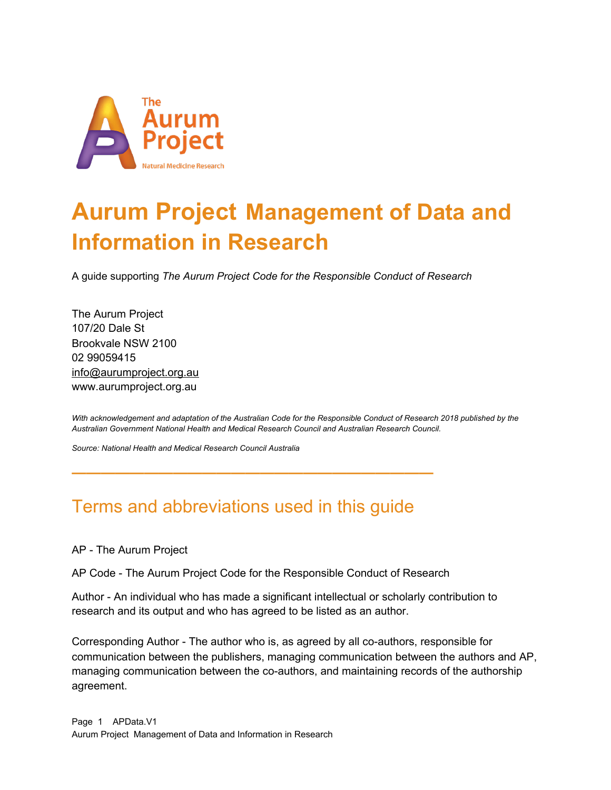

# **Aurum Project Management of Data and Information in Research**

A guide supporting *The Aurum Project Code for the Responsible Conduct of Research*

The Aurum Project 107/20 Dale St Brookvale NSW 2100 02 99059415 info@aurumproject.org.au www.aurumproject.org.au

With acknowledgement and adaptation of the Australian Code for the Responsible Conduct of Research 2018 published by the *Australian Government National Health and Medical Research Council and Australian Research Council.*

*Source: National Health and Medical Research Council Australia*

#### Terms and abbreviations used in this guide

**—————————————————————————**

AP - The Aurum Project

AP Code - The Aurum Project Code for the Responsible Conduct of Research

Author - An individual who has made a significant intellectual or scholarly contribution to research and its output and who has agreed to be listed as an author.

Corresponding Author - The author who is, as agreed by all co-authors, responsible for communication between the publishers, managing communication between the authors and AP, managing communication between the co-authors, and maintaining records of the authorship agreement.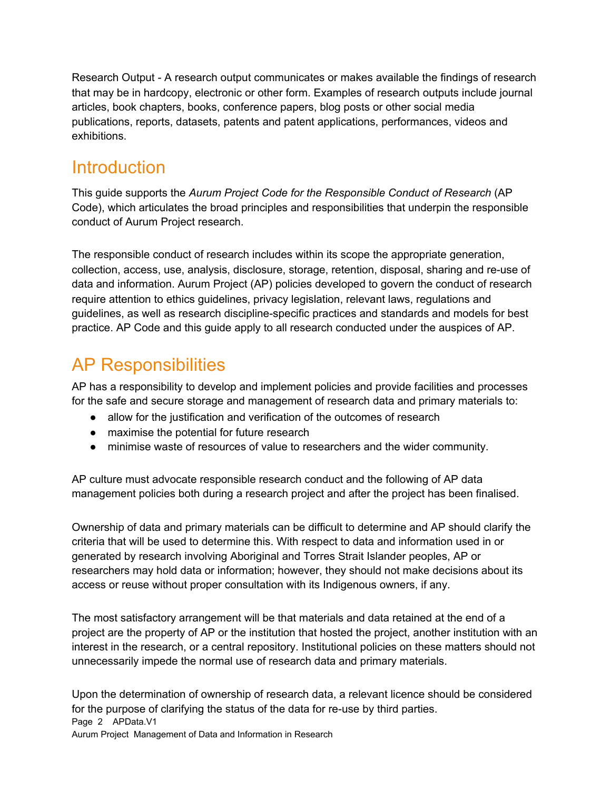Research Output - A research output communicates or makes available the findings of research that may be in hardcopy, electronic or other form. Examples of research outputs include journal articles, book chapters, books, conference papers, blog posts or other social media publications, reports, datasets, patents and patent applications, performances, videos and exhibitions.

#### **Introduction**

This guide supports the *Aurum Project Code for the Responsible Conduct of Research* (AP Code), which articulates the broad principles and responsibilities that underpin the responsible conduct of Aurum Project research.

The responsible conduct of research includes within its scope the appropriate generation, collection, access, use, analysis, disclosure, storage, retention, disposal, sharing and re-use of data and information. Aurum Project (AP) policies developed to govern the conduct of research require attention to ethics guidelines, privacy legislation, relevant laws, regulations and guidelines, as well as research discipline-specific practices and standards and models for best practice. AP Code and this guide apply to all research conducted under the auspices of AP.

### AP Responsibilities

AP has a responsibility to develop and implement policies and provide facilities and processes for the safe and secure storage and management of research data and primary materials to:

- allow for the justification and verification of the outcomes of research
- maximise the potential for future research
- minimise waste of resources of value to researchers and the wider community.

AP culture must advocate responsible research conduct and the following of AP data management policies both during a research project and after the project has been finalised.

Ownership of data and primary materials can be difficult to determine and AP should clarify the criteria that will be used to determine this. With respect to data and information used in or generated by research involving Aboriginal and Torres Strait Islander peoples, AP or researchers may hold data or information; however, they should not make decisions about its access or reuse without proper consultation with its Indigenous owners, if any.

The most satisfactory arrangement will be that materials and data retained at the end of a project are the property of AP or the institution that hosted the project, another institution with an interest in the research, or a central repository. Institutional policies on these matters should not unnecessarily impede the normal use of research data and primary materials.

Upon the determination of ownership of research data, a relevant licence should be considered for the purpose of clarifying the status of the data for re-use by third parties. Page 2 APData.V1 Aurum Project Management of Data and Information in Research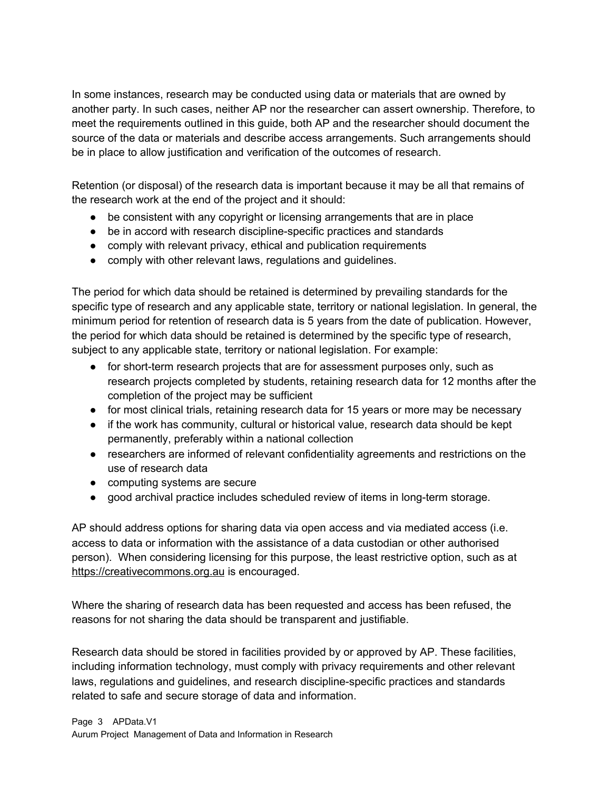In some instances, research may be conducted using data or materials that are owned by another party. In such cases, neither AP nor the researcher can assert ownership. Therefore, to meet the requirements outlined in this guide, both AP and the researcher should document the source of the data or materials and describe access arrangements. Such arrangements should be in place to allow justification and verification of the outcomes of research.

Retention (or disposal) of the research data is important because it may be all that remains of the research work at the end of the project and it should:

- be consistent with any copyright or licensing arrangements that are in place
- be in accord with research discipline-specific practices and standards
- comply with relevant privacy, ethical and publication requirements
- comply with other relevant laws, regulations and guidelines.

The period for which data should be retained is determined by prevailing standards for the specific type of research and any applicable state, territory or national legislation. In general, the minimum period for retention of research data is 5 years from the date of publication. However, the period for which data should be retained is determined by the specific type of research, subject to any applicable state, territory or national legislation. For example:

- for short-term research projects that are for assessment purposes only, such as research projects completed by students, retaining research data for 12 months after the completion of the project may be sufficient
- for most clinical trials, retaining research data for 15 years or more may be necessary
- if the work has community, cultural or historical value, research data should be kept permanently, preferably within a national collection
- researchers are informed of relevant confidentiality agreements and restrictions on the use of research data
- computing systems are secure
- good archival practice includes scheduled review of items in long-term storage.

AP should address options for sharing data via open access and via mediated access (i.e. access to data or information with the assistance of a data custodian or other authorised person). When considering licensing for this purpose, the least restrictive option, such as at https://creativecommons.org.au is encouraged.

Where the sharing of research data has been requested and access has been refused, the reasons for not sharing the data should be transparent and justifiable.

Research data should be stored in facilities provided by or approved by AP. These facilities, including information technology, must comply with privacy requirements and other relevant laws, regulations and guidelines, and research discipline-specific practices and standards related to safe and secure storage of data and information.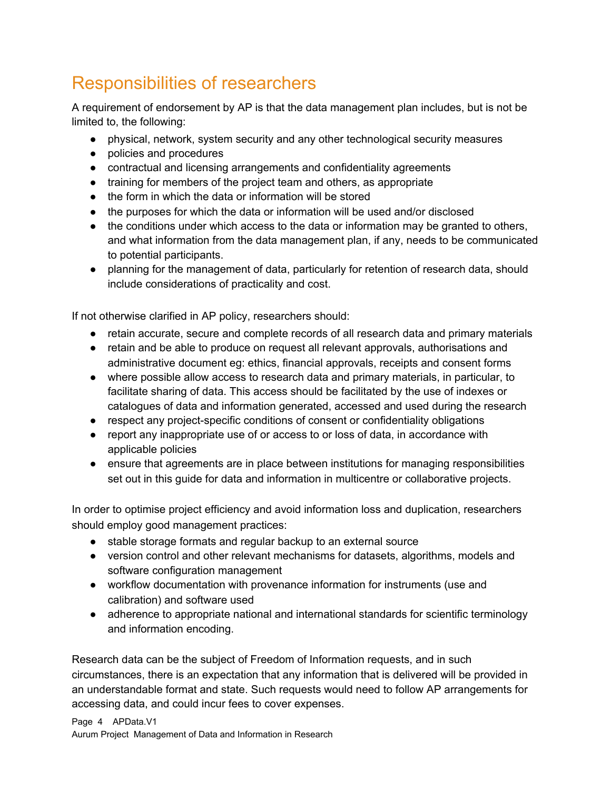## Responsibilities of researchers

A requirement of endorsement by AP is that the data management plan includes, but is not be limited to, the following:

- physical, network, system security and any other technological security measures
- policies and procedures
- contractual and licensing arrangements and confidentiality agreements
- training for members of the project team and others, as appropriate
- the form in which the data or information will be stored
- the purposes for which the data or information will be used and/or disclosed
- the conditions under which access to the data or information may be granted to others, and what information from the data management plan, if any, needs to be communicated to potential participants.
- planning for the management of data, particularly for retention of research data, should include considerations of practicality and cost.

If not otherwise clarified in AP policy, researchers should:

- retain accurate, secure and complete records of all research data and primary materials
- retain and be able to produce on request all relevant approvals, authorisations and administrative document eg: ethics, financial approvals, receipts and consent forms
- where possible allow access to research data and primary materials, in particular, to facilitate sharing of data. This access should be facilitated by the use of indexes or catalogues of data and information generated, accessed and used during the research
- respect any project-specific conditions of consent or confidentiality obligations
- report any inappropriate use of or access to or loss of data, in accordance with applicable policies
- ensure that agreements are in place between institutions for managing responsibilities set out in this guide for data and information in multicentre or collaborative projects.

In order to optimise project efficiency and avoid information loss and duplication, researchers should employ good management practices:

- stable storage formats and regular backup to an external source
- version control and other relevant mechanisms for datasets, algorithms, models and software configuration management
- workflow documentation with provenance information for instruments (use and calibration) and software used
- adherence to appropriate national and international standards for scientific terminology and information encoding.

Research data can be the subject of Freedom of Information requests, and in such circumstances, there is an expectation that any information that is delivered will be provided in an understandable format and state. Such requests would need to follow AP arrangements for accessing data, and could incur fees to cover expenses.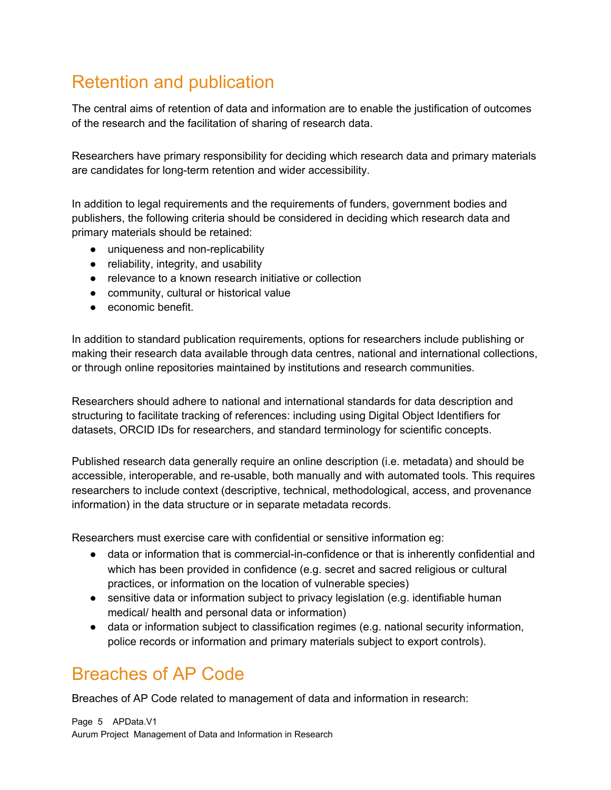## Retention and publication

The central aims of retention of data and information are to enable the justification of outcomes of the research and the facilitation of sharing of research data.

Researchers have primary responsibility for deciding which research data and primary materials are candidates for long-term retention and wider accessibility.

In addition to legal requirements and the requirements of funders, government bodies and publishers, the following criteria should be considered in deciding which research data and primary materials should be retained:

- uniqueness and non-replicability
- reliability, integrity, and usability
- relevance to a known research initiative or collection
- community, cultural or historical value
- economic benefit.

In addition to standard publication requirements, options for researchers include publishing or making their research data available through data centres, national and international collections, or through online repositories maintained by institutions and research communities.

Researchers should adhere to national and international standards for data description and structuring to facilitate tracking of references: including using Digital Object Identifiers for datasets, ORCID IDs for researchers, and standard terminology for scientific concepts.

Published research data generally require an online description (i.e. metadata) and should be accessible, interoperable, and re-usable, both manually and with automated tools. This requires researchers to include context (descriptive, technical, methodological, access, and provenance information) in the data structure or in separate metadata records.

Researchers must exercise care with confidential or sensitive information eg:

- data or information that is commercial-in-confidence or that is inherently confidential and which has been provided in confidence (e.g. secret and sacred religious or cultural practices, or information on the location of vulnerable species)
- sensitive data or information subject to privacy legislation (e.g. identifiable human medical/ health and personal data or information)
- data or information subject to classification regimes (e.g. national security information, police records or information and primary materials subject to export controls).

#### Breaches of AP Code

Breaches of AP Code related to management of data and information in research:

Page 5 APData.V1 Aurum Project Management of Data and Information in Research